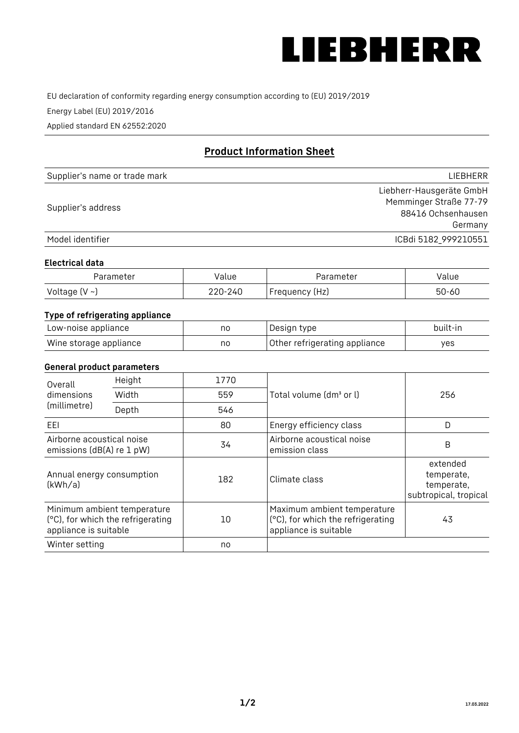

EU declaration of conformity regarding energy consumption according to (EU) 2019/2019

Energy Label (EU) 2019/2016

Applied standard EN 62552:2020

# **Product Information Sheet**

| Supplier's name or trade mark | <b>LIFBHFRR</b>          |
|-------------------------------|--------------------------|
|                               | Liebherr-Hausgeräte GmbH |
| Supplier's address            | Memminger Straße 77-79   |
|                               | 88416 Ochsenhausen       |
|                               | Germany                  |
| Model identifier              | ICBdi 5182 999210551     |

#### **Electrical data**

| Parameter          | Value   | Parameter      | alue  |
|--------------------|---------|----------------|-------|
| Voltage $(V \sim)$ | 220-240 | Frequency (Hz) | 50-60 |

## **Type of refrigerating appliance**

| Low-noise appliance    | no | Design type                   | built-in |
|------------------------|----|-------------------------------|----------|
| Wine storage appliance | no | Other refrigerating appliance | ves      |

#### **General product parameters**

| Height<br>Overall<br>dimensions<br>Width<br>(millimetre)<br>Depth | 1770                                                             |     |                                                                                           |                                                               |
|-------------------------------------------------------------------|------------------------------------------------------------------|-----|-------------------------------------------------------------------------------------------|---------------------------------------------------------------|
|                                                                   |                                                                  | 559 | Total volume (dm <sup>3</sup> or l)                                                       | 256                                                           |
|                                                                   |                                                                  | 546 |                                                                                           |                                                               |
| EEL                                                               |                                                                  | 80  | Energy efficiency class                                                                   | D                                                             |
| Airborne acoustical noise<br>emissions (dB(A) re 1 pW)            |                                                                  | 34  | Airborne acoustical noise<br>emission class                                               | B                                                             |
| Annual energy consumption<br>(kWh/a)                              |                                                                  | 182 | Climate class                                                                             | extended<br>temperate,<br>temperate,<br>subtropical, tropical |
| appliance is suitable                                             | Minimum ambient temperature<br>(°C), for which the refrigerating | 10  | Maximum ambient temperature<br>(°C), for which the refrigerating<br>appliance is suitable | 43                                                            |
| Winter setting                                                    |                                                                  | no  |                                                                                           |                                                               |